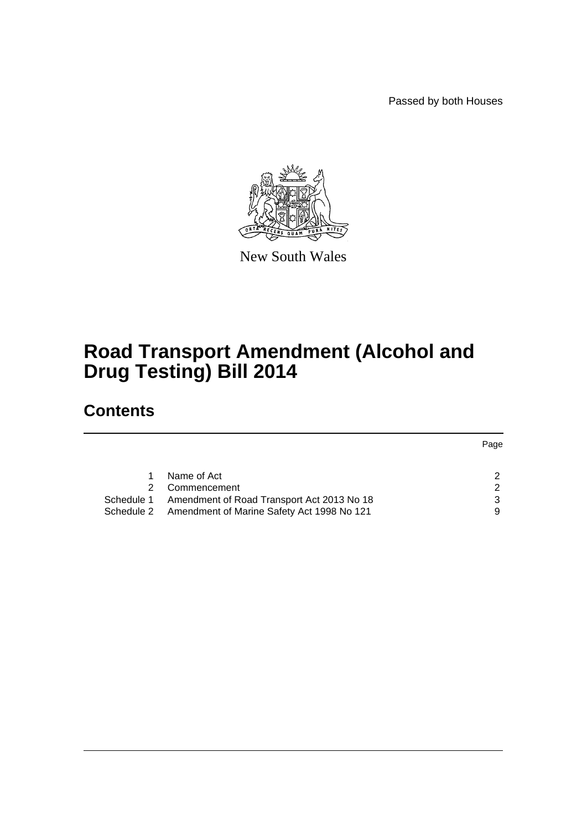Passed by both Houses



New South Wales

# **Road Transport Amendment (Alcohol and Drug Testing) Bill 2014**

# **Contents**

|                                                          | Page |
|----------------------------------------------------------|------|
|                                                          |      |
| Name of Act                                              |      |
| Commencement                                             |      |
| Schedule 1 Amendment of Road Transport Act 2013 No 18    | 3    |
| Amendment of Marine Safety Act 1998 No 121<br>Schedule 2 |      |
|                                                          |      |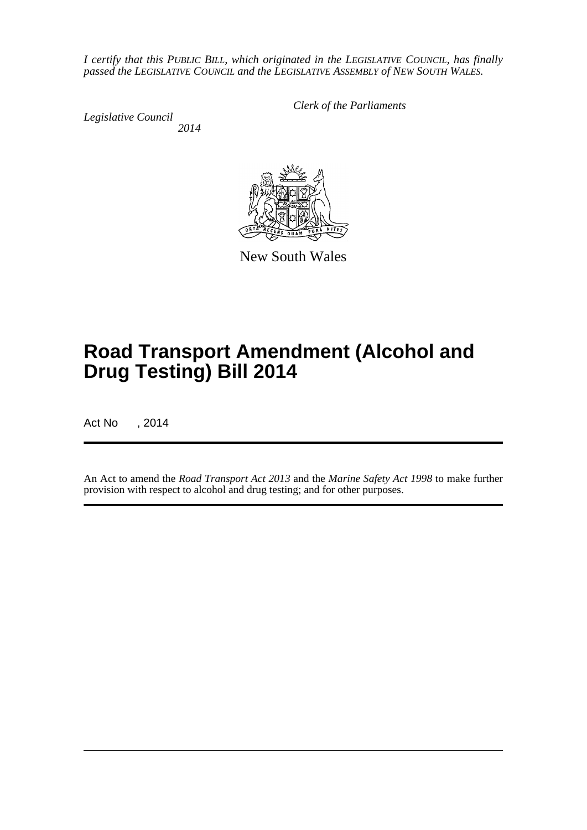*I certify that this PUBLIC BILL, which originated in the LEGISLATIVE COUNCIL, has finally passed the LEGISLATIVE COUNCIL and the LEGISLATIVE ASSEMBLY of NEW SOUTH WALES.*

*Legislative Council 2014* *Clerk of the Parliaments*



New South Wales

# **Road Transport Amendment (Alcohol and Drug Testing) Bill 2014**

Act No , 2014

An Act to amend the *Road Transport Act 2013* and the *Marine Safety Act 1998* to make further provision with respect to alcohol and drug testing; and for other purposes.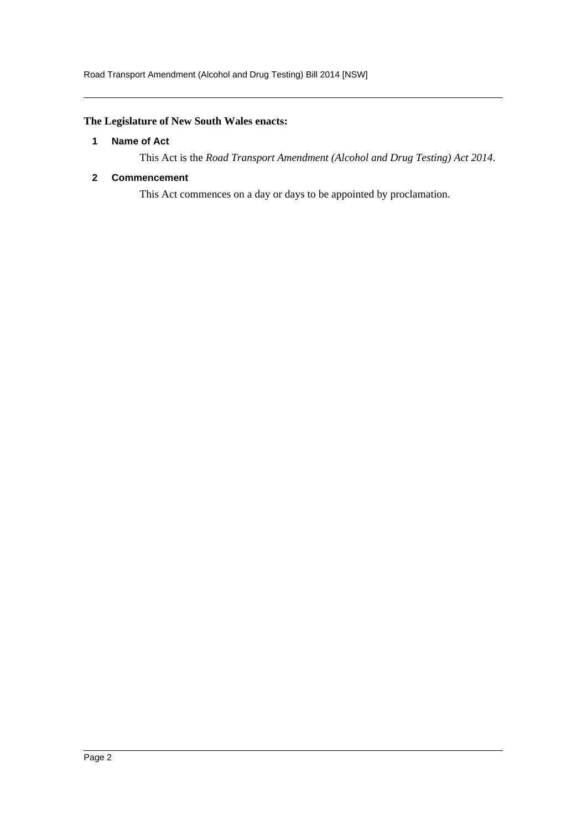## <span id="page-2-0"></span>**The Legislature of New South Wales enacts:**

## **1 Name of Act**

This Act is the *Road Transport Amendment (Alcohol and Drug Testing) Act 2014*.

## <span id="page-2-1"></span>**2 Commencement**

This Act commences on a day or days to be appointed by proclamation.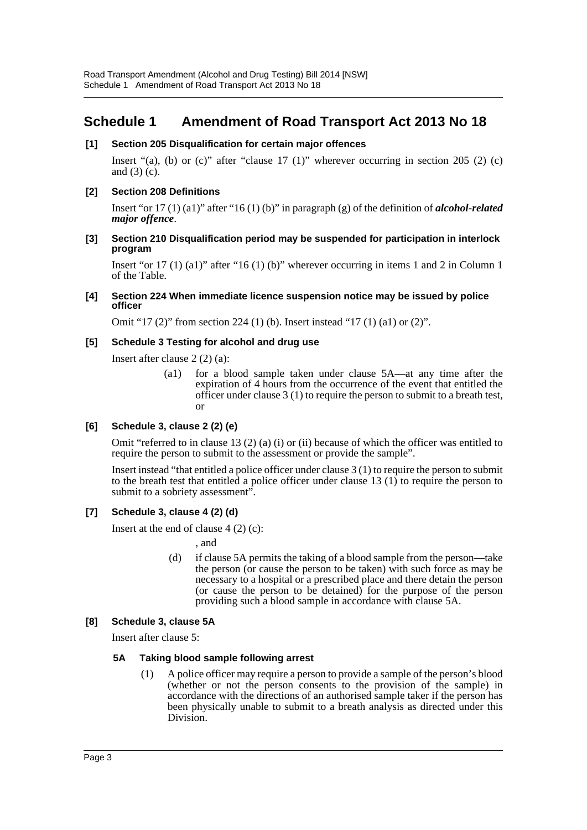## <span id="page-3-0"></span>**Schedule 1 Amendment of Road Transport Act 2013 No 18**

## **[1] Section 205 Disqualification for certain major offences**

Insert "(a), (b) or (c)" after "clause 17 (1)" wherever occurring in section 205 (2) (c) and (3) (c).

## **[2] Section 208 Definitions**

Insert "or 17 (1) (a1)" after "16 (1) (b)" in paragraph (g) of the definition of *alcohol-related major offence*.

### **[3] Section 210 Disqualification period may be suspended for participation in interlock program**

Insert "or  $17 (1) (a)$ " after "16 (1) (b)" wherever occurring in items 1 and 2 in Column 1 of the Table.

#### **[4] Section 224 When immediate licence suspension notice may be issued by police officer**

Omit "17 (2)" from section 224 (1) (b). Insert instead "17 (1) (a1) or (2)".

## **[5] Schedule 3 Testing for alcohol and drug use**

Insert after clause 2 (2) (a):

(a1) for a blood sample taken under clause 5A—at any time after the expiration of 4 hours from the occurrence of the event that entitled the officer under clause 3 (1) to require the person to submit to a breath test, or

## **[6] Schedule 3, clause 2 (2) (e)**

Omit "referred to in clause 13 (2) (a) (i) or (ii) because of which the officer was entitled to require the person to submit to the assessment or provide the sample".

Insert instead "that entitled a police officer under clause 3 (1) to require the person to submit to the breath test that entitled a police officer under clause 13 (1) to require the person to submit to a sobriety assessment".

## **[7] Schedule 3, clause 4 (2) (d)**

Insert at the end of clause  $4(2)(c)$ :

, and

(d) if clause 5A permits the taking of a blood sample from the person—take the person (or cause the person to be taken) with such force as may be necessary to a hospital or a prescribed place and there detain the person (or cause the person to be detained) for the purpose of the person providing such a blood sample in accordance with clause 5A.

## **[8] Schedule 3, clause 5A**

Insert after clause 5:

## **5A Taking blood sample following arrest**

(1) A police officer may require a person to provide a sample of the person's blood (whether or not the person consents to the provision of the sample) in accordance with the directions of an authorised sample taker if the person has been physically unable to submit to a breath analysis as directed under this Division.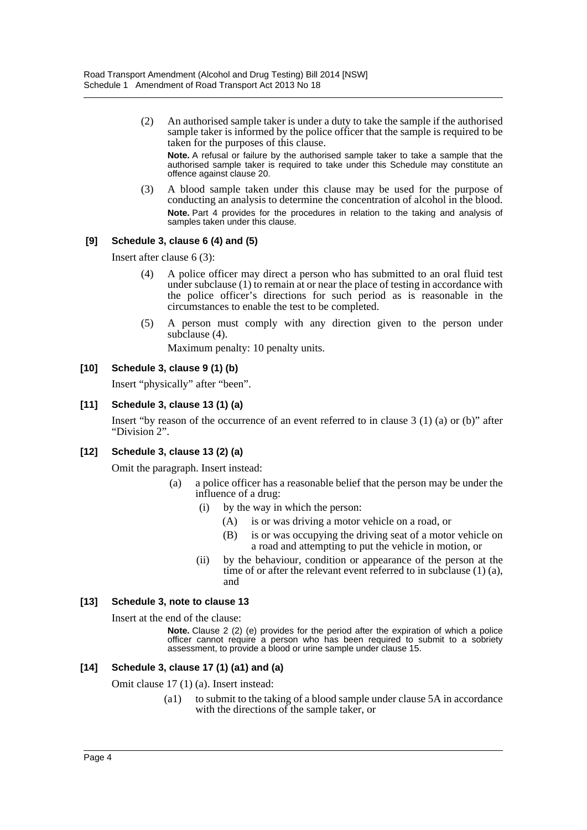(2) An authorised sample taker is under a duty to take the sample if the authorised sample taker is informed by the police officer that the sample is required to be taken for the purposes of this clause.

**Note.** A refusal or failure by the authorised sample taker to take a sample that the authorised sample taker is required to take under this Schedule may constitute an offence against clause 20.

(3) A blood sample taken under this clause may be used for the purpose of conducting an analysis to determine the concentration of alcohol in the blood. **Note.** Part 4 provides for the procedures in relation to the taking and analysis of samples taken under this clause.

## **[9] Schedule 3, clause 6 (4) and (5)**

Insert after clause 6 (3):

- (4) A police officer may direct a person who has submitted to an oral fluid test under subclause (1) to remain at or near the place of testing in accordance with the police officer's directions for such period as is reasonable in the circumstances to enable the test to be completed.
- (5) A person must comply with any direction given to the person under subclause (4).

Maximum penalty: 10 penalty units.

## **[10] Schedule 3, clause 9 (1) (b)**

Insert "physically" after "been".

## **[11] Schedule 3, clause 13 (1) (a)**

Insert "by reason of the occurrence of an event referred to in clause 3 (1) (a) or (b)" after "Division 2".

## **[12] Schedule 3, clause 13 (2) (a)**

Omit the paragraph. Insert instead:

- (a) a police officer has a reasonable belief that the person may be under the influence of a drug:
	- (i) by the way in which the person:
		- (A) is or was driving a motor vehicle on a road, or
		- (B) is or was occupying the driving seat of a motor vehicle on a road and attempting to put the vehicle in motion, or
	- (ii) by the behaviour, condition or appearance of the person at the time of or after the relevant event referred to in subclause (1) (a), and

## **[13] Schedule 3, note to clause 13**

Insert at the end of the clause:

**Note.** Clause 2 (2) (e) provides for the period after the expiration of which a police officer cannot require a person who has been required to submit to a sobriety assessment, to provide a blood or urine sample under clause 15.

## **[14] Schedule 3, clause 17 (1) (a1) and (a)**

Omit clause 17 (1) (a). Insert instead:

(a1) to submit to the taking of a blood sample under clause 5A in accordance with the directions of the sample taker, or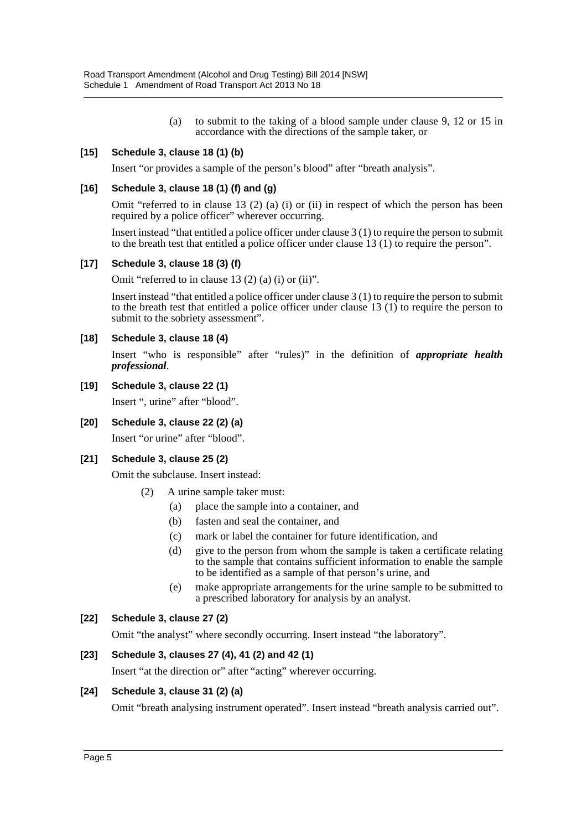(a) to submit to the taking of a blood sample under clause 9, 12 or 15 in accordance with the directions of the sample taker, or

## **[15] Schedule 3, clause 18 (1) (b)**

Insert "or provides a sample of the person's blood" after "breath analysis".

## **[16] Schedule 3, clause 18 (1) (f) and (g)**

Omit "referred to in clause 13 (2) (a) (i) or (ii) in respect of which the person has been required by a police officer" wherever occurring.

Insert instead "that entitled a police officer under clause 3 (1) to require the person to submit to the breath test that entitled a police officer under clause 13 (1) to require the person".

#### **[17] Schedule 3, clause 18 (3) (f)**

Omit "referred to in clause 13 (2) (a) (i) or (ii)".

Insert instead "that entitled a police officer under clause 3 (1) to require the person to submit to the breath test that entitled a police officer under clause 13  $(1)$  to require the person to submit to the sobriety assessment".

#### **[18] Schedule 3, clause 18 (4)**

Insert "who is responsible" after "rules)" in the definition of *appropriate health professional*.

### **[19] Schedule 3, clause 22 (1)**

Insert ", urine" after "blood".

**[20] Schedule 3, clause 22 (2) (a)**

Insert "or urine" after "blood".

#### **[21] Schedule 3, clause 25 (2)**

Omit the subclause. Insert instead:

- (2) A urine sample taker must:
	- (a) place the sample into a container, and
	- (b) fasten and seal the container, and
	- (c) mark or label the container for future identification, and
	- (d) give to the person from whom the sample is taken a certificate relating to the sample that contains sufficient information to enable the sample to be identified as a sample of that person's urine, and
	- (e) make appropriate arrangements for the urine sample to be submitted to a prescribed laboratory for analysis by an analyst.

#### **[22] Schedule 3, clause 27 (2)**

Omit "the analyst" where secondly occurring. Insert instead "the laboratory".

## **[23] Schedule 3, clauses 27 (4), 41 (2) and 42 (1)**

Insert "at the direction or" after "acting" wherever occurring.

## **[24] Schedule 3, clause 31 (2) (a)**

Omit "breath analysing instrument operated". Insert instead "breath analysis carried out".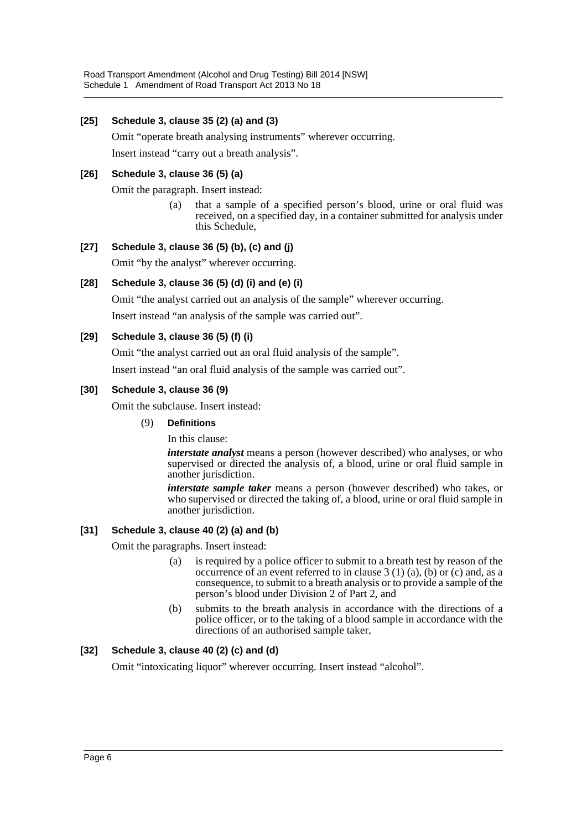## **[25] Schedule 3, clause 35 (2) (a) and (3)**

Omit "operate breath analysing instruments" wherever occurring.

Insert instead "carry out a breath analysis".

## **[26] Schedule 3, clause 36 (5) (a)**

Omit the paragraph. Insert instead:

(a) that a sample of a specified person's blood, urine or oral fluid was received, on a specified day, in a container submitted for analysis under this Schedule,

## **[27] Schedule 3, clause 36 (5) (b), (c) and (j)**

Omit "by the analyst" wherever occurring.

## **[28] Schedule 3, clause 36 (5) (d) (i) and (e) (i)**

Omit "the analyst carried out an analysis of the sample" wherever occurring.

Insert instead "an analysis of the sample was carried out".

## **[29] Schedule 3, clause 36 (5) (f) (i)**

Omit "the analyst carried out an oral fluid analysis of the sample".

Insert instead "an oral fluid analysis of the sample was carried out".

## **[30] Schedule 3, clause 36 (9)**

Omit the subclause. Insert instead:

(9) **Definitions**

In this clause:

*interstate analyst* means a person (however described) who analyses, or who supervised or directed the analysis of, a blood, urine or oral fluid sample in another jurisdiction.

*interstate sample taker* means a person (however described) who takes, or who supervised or directed the taking of, a blood, urine or oral fluid sample in another jurisdiction.

## **[31] Schedule 3, clause 40 (2) (a) and (b)**

Omit the paragraphs. Insert instead:

- (a) is required by a police officer to submit to a breath test by reason of the occurrence of an event referred to in clause  $3(1)(a)$ , (b) or (c) and, as a consequence, to submit to a breath analysis or to provide a sample of the person's blood under Division 2 of Part 2, and
- (b) submits to the breath analysis in accordance with the directions of a police officer, or to the taking of a blood sample in accordance with the directions of an authorised sample taker,

## **[32] Schedule 3, clause 40 (2) (c) and (d)**

Omit "intoxicating liquor" wherever occurring. Insert instead "alcohol".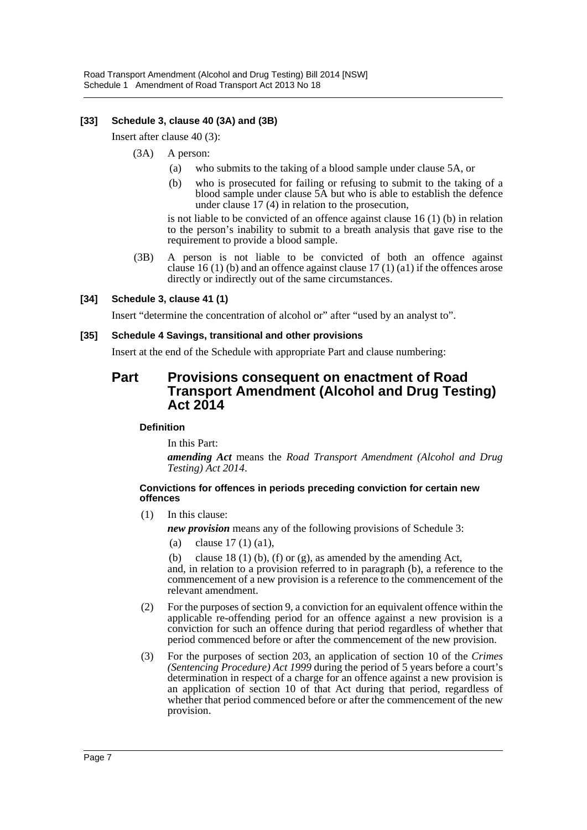## **[33] Schedule 3, clause 40 (3A) and (3B)**

Insert after clause 40 (3):

- (3A) A person:
	- (a) who submits to the taking of a blood sample under clause 5A, or
	- (b) who is prosecuted for failing or refusing to submit to the taking of a blood sample under clause 5A but who is able to establish the defence under clause 17 (4) in relation to the prosecution,

is not liable to be convicted of an offence against clause 16 (1) (b) in relation to the person's inability to submit to a breath analysis that gave rise to the requirement to provide a blood sample.

(3B) A person is not liable to be convicted of both an offence against clause 16 (1) (b) and an offence against clause 17 (1) (a1) if the offences arose directly or indirectly out of the same circumstances.

## **[34] Schedule 3, clause 41 (1)**

Insert "determine the concentration of alcohol or" after "used by an analyst to".

## **[35] Schedule 4 Savings, transitional and other provisions**

Insert at the end of the Schedule with appropriate Part and clause numbering:

## **Part Provisions consequent on enactment of Road Transport Amendment (Alcohol and Drug Testing) Act 2014**

## **Definition**

In this Part:

*amending Act* means the *Road Transport Amendment (Alcohol and Drug Testing) Act 2014*.

#### **Convictions for offences in periods preceding conviction for certain new offences**

(1) In this clause:

*new provision* means any of the following provisions of Schedule 3:

- (a) clause 17 (1) (a1),
- (b) clause 18 (1) (b), (f) or (g), as amended by the amending Act,

and, in relation to a provision referred to in paragraph (b), a reference to the commencement of a new provision is a reference to the commencement of the relevant amendment.

- (2) For the purposes of section 9, a conviction for an equivalent offence within the applicable re-offending period for an offence against a new provision is a conviction for such an offence during that period regardless of whether that period commenced before or after the commencement of the new provision.
- (3) For the purposes of section 203, an application of section 10 of the *Crimes (Sentencing Procedure) Act 1999* during the period of 5 years before a court's determination in respect of a charge for an offence against a new provision is an application of section 10 of that Act during that period, regardless of whether that period commenced before or after the commencement of the new provision.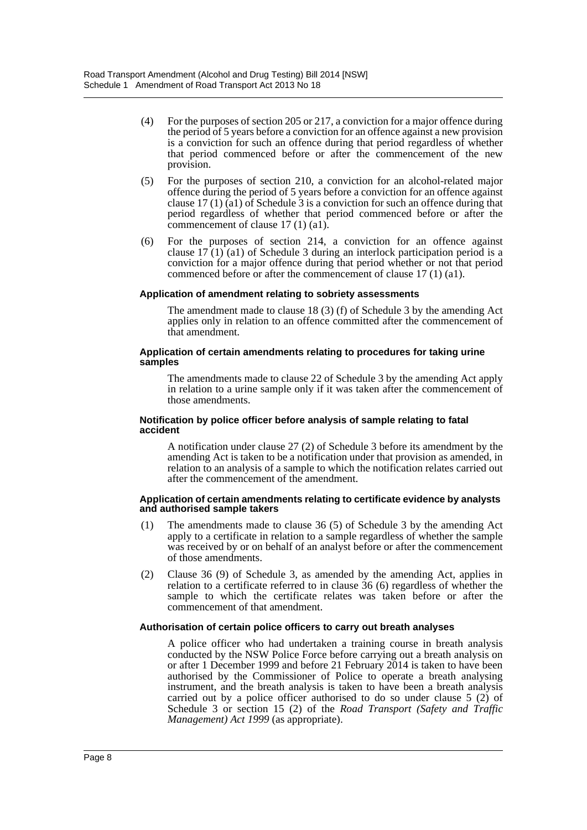- (4) For the purposes of section 205 or 217, a conviction for a major offence during the period of 5 years before a conviction for an offence against a new provision is a conviction for such an offence during that period regardless of whether that period commenced before or after the commencement of the new provision.
- (5) For the purposes of section 210, a conviction for an alcohol-related major offence during the period of 5 years before a conviction for an offence against clause 17 (1) (a1) of Schedule 3 is a conviction for such an offence during that period regardless of whether that period commenced before or after the commencement of clause 17 (1) (a1).
- (6) For the purposes of section 214, a conviction for an offence against clause  $17(1)(a1)$  of Schedule 3 during an interlock participation period is a conviction for a major offence during that period whether or not that period commenced before or after the commencement of clause 17 (1) (a1).

#### **Application of amendment relating to sobriety assessments**

The amendment made to clause 18 (3) (f) of Schedule 3 by the amending Act applies only in relation to an offence committed after the commencement of that amendment.

#### **Application of certain amendments relating to procedures for taking urine samples**

The amendments made to clause 22 of Schedule 3 by the amending Act apply in relation to a urine sample only if it was taken after the commencement of those amendments.

#### **Notification by police officer before analysis of sample relating to fatal accident**

A notification under clause 27 (2) of Schedule 3 before its amendment by the amending Act is taken to be a notification under that provision as amended, in relation to an analysis of a sample to which the notification relates carried out after the commencement of the amendment.

#### **Application of certain amendments relating to certificate evidence by analysts and authorised sample takers**

- (1) The amendments made to clause 36 (5) of Schedule 3 by the amending Act apply to a certificate in relation to a sample regardless of whether the sample was received by or on behalf of an analyst before or after the commencement of those amendments.
- (2) Clause 36 (9) of Schedule 3, as amended by the amending Act, applies in relation to a certificate referred to in clause 36 (6) regardless of whether the sample to which the certificate relates was taken before or after the commencement of that amendment.

## **Authorisation of certain police officers to carry out breath analyses**

A police officer who had undertaken a training course in breath analysis conducted by the NSW Police Force before carrying out a breath analysis on or after 1 December 1999 and before 21 February 2014 is taken to have been authorised by the Commissioner of Police to operate a breath analysing instrument, and the breath analysis is taken to have been a breath analysis carried out by a police officer authorised to do so under clause 5 (2) of Schedule 3 or section 15 (2) of the *Road Transport (Safety and Traffic Management) Act 1999* (as appropriate).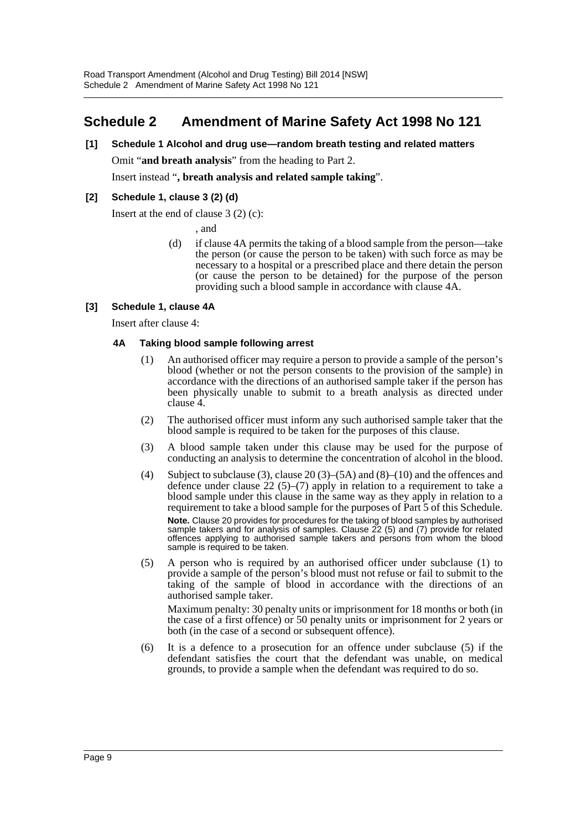# <span id="page-9-0"></span>**Schedule 2 Amendment of Marine Safety Act 1998 No 121**

**[1] Schedule 1 Alcohol and drug use—random breath testing and related matters** Omit "**and breath analysis**" from the heading to Part 2.

Insert instead "**, breath analysis and related sample taking**".

## **[2] Schedule 1, clause 3 (2) (d)**

Insert at the end of clause 3 (2) (c):

, and

(d) if clause 4A permits the taking of a blood sample from the person—take the person (or cause the person to be taken) with such force as may be necessary to a hospital or a prescribed place and there detain the person (or cause the person to be detained) for the purpose of the person providing such a blood sample in accordance with clause 4A.

## **[3] Schedule 1, clause 4A**

Insert after clause 4:

## **4A Taking blood sample following arrest**

- (1) An authorised officer may require a person to provide a sample of the person's blood (whether or not the person consents to the provision of the sample) in accordance with the directions of an authorised sample taker if the person has been physically unable to submit to a breath analysis as directed under clause 4.
- (2) The authorised officer must inform any such authorised sample taker that the blood sample is required to be taken for the purposes of this clause.
- (3) A blood sample taken under this clause may be used for the purpose of conducting an analysis to determine the concentration of alcohol in the blood.
- (4) Subject to subclause (3), clause 20 (3)–(5A) and (8)–(10) and the offences and defence under clause  $22(5)-(7)$  apply in relation to a requirement to take a blood sample under this clause in the same way as they apply in relation to a requirement to take a blood sample for the purposes of Part 5 of this Schedule. **Note.** Clause 20 provides for procedures for the taking of blood samples by authorised sample takers and for analysis of samples. Clause 22 (5) and (7) provide for related offences applying to authorised sample takers and persons from whom the blood sample is required to be taken.
- (5) A person who is required by an authorised officer under subclause (1) to provide a sample of the person's blood must not refuse or fail to submit to the taking of the sample of blood in accordance with the directions of an authorised sample taker.

Maximum penalty: 30 penalty units or imprisonment for 18 months or both (in the case of a first offence) or 50 penalty units or imprisonment for 2 years or both (in the case of a second or subsequent offence).

(6) It is a defence to a prosecution for an offence under subclause (5) if the defendant satisfies the court that the defendant was unable, on medical grounds, to provide a sample when the defendant was required to do so.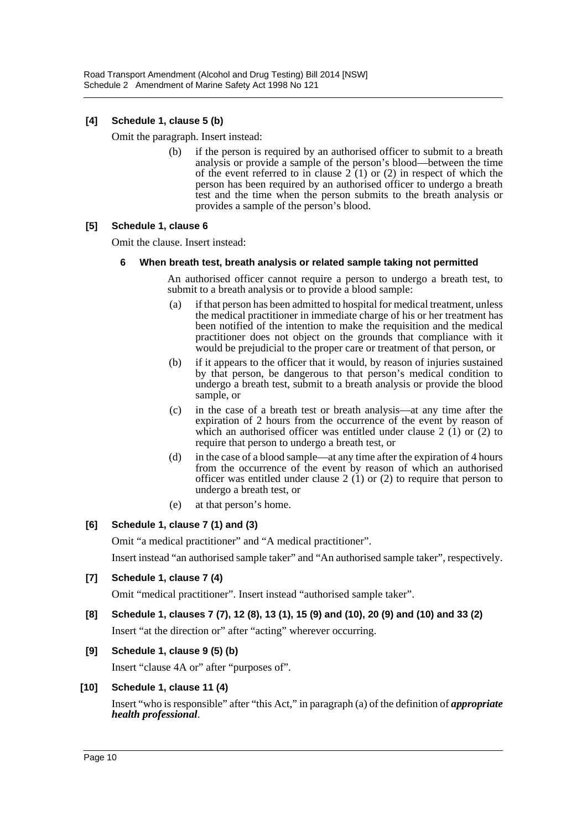## **[4] Schedule 1, clause 5 (b)**

Omit the paragraph. Insert instead:

(b) if the person is required by an authorised officer to submit to a breath analysis or provide a sample of the person's blood—between the time of the event referred to in clause  $2(1)$  or (2) in respect of which the person has been required by an authorised officer to undergo a breath test and the time when the person submits to the breath analysis or provides a sample of the person's blood.

## **[5] Schedule 1, clause 6**

Omit the clause. Insert instead:

## **6 When breath test, breath analysis or related sample taking not permitted**

An authorised officer cannot require a person to undergo a breath test, to submit to a breath analysis or to provide a blood sample:

- (a) if that person has been admitted to hospital for medical treatment, unless the medical practitioner in immediate charge of his or her treatment has been notified of the intention to make the requisition and the medical practitioner does not object on the grounds that compliance with it would be prejudicial to the proper care or treatment of that person, or
- (b) if it appears to the officer that it would, by reason of injuries sustained by that person, be dangerous to that person's medical condition to undergo a breath test, submit to a breath analysis or provide the blood sample, or
- (c) in the case of a breath test or breath analysis—at any time after the expiration of 2 hours from the occurrence of the event by reason of which an authorised officer was entitled under clause  $2(1)$  or  $(2)$  to require that person to undergo a breath test, or
- (d) in the case of a blood sample—at any time after the expiration of 4 hours from the occurrence of the event by reason of which an authorised officer was entitled under clause  $2(1)$  or (2) to require that person to undergo a breath test, or
- (e) at that person's home.

## **[6] Schedule 1, clause 7 (1) and (3)**

Omit "a medical practitioner" and "A medical practitioner".

Insert instead "an authorised sample taker" and "An authorised sample taker", respectively.

## **[7] Schedule 1, clause 7 (4)**

Omit "medical practitioner". Insert instead "authorised sample taker".

- **[8] Schedule 1, clauses 7 (7), 12 (8), 13 (1), 15 (9) and (10), 20 (9) and (10) and 33 (2)** Insert "at the direction or" after "acting" wherever occurring.
- **[9] Schedule 1, clause 9 (5) (b)**

Insert "clause 4A or" after "purposes of".

## **[10] Schedule 1, clause 11 (4)**

Insert "who is responsible" after "this Act," in paragraph (a) of the definition of *appropriate health professional*.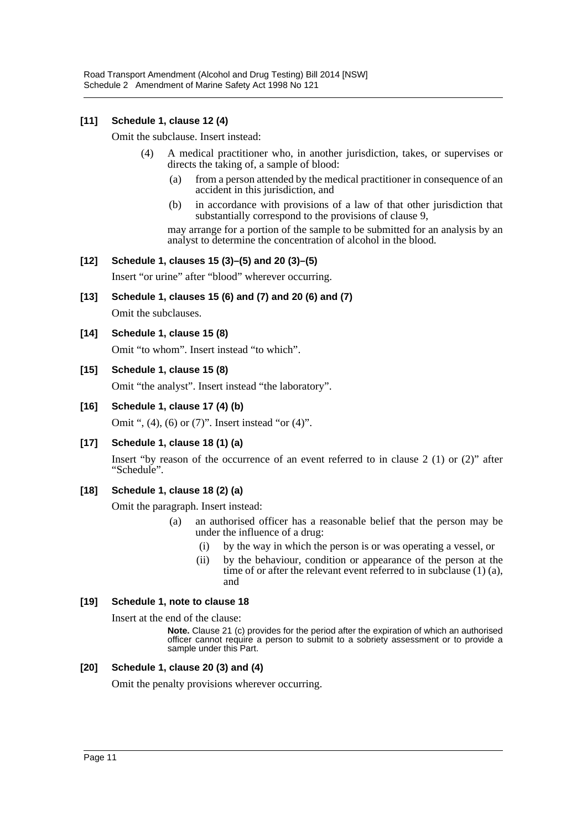## **[11] Schedule 1, clause 12 (4)**

Omit the subclause. Insert instead:

- (4) A medical practitioner who, in another jurisdiction, takes, or supervises or directs the taking of, a sample of blood:
	- (a) from a person attended by the medical practitioner in consequence of an accident in this jurisdiction, and
	- (b) in accordance with provisions of a law of that other jurisdiction that substantially correspond to the provisions of clause 9,

may arrange for a portion of the sample to be submitted for an analysis by an analyst to determine the concentration of alcohol in the blood.

## **[12] Schedule 1, clauses 15 (3)–(5) and 20 (3)–(5)**

Insert "or urine" after "blood" wherever occurring.

**[13] Schedule 1, clauses 15 (6) and (7) and 20 (6) and (7)**

Omit the subclauses.

**[14] Schedule 1, clause 15 (8)**

Omit "to whom". Insert instead "to which".

## **[15] Schedule 1, clause 15 (8)**

Omit "the analyst". Insert instead "the laboratory".

**[16] Schedule 1, clause 17 (4) (b)**

Omit ", (4), (6) or (7)". Insert instead "or (4)".

**[17] Schedule 1, clause 18 (1) (a)**

Insert "by reason of the occurrence of an event referred to in clause 2 (1) or (2)" after "Schedule".

## **[18] Schedule 1, clause 18 (2) (a)**

Omit the paragraph. Insert instead:

- (a) an authorised officer has a reasonable belief that the person may be under the influence of a drug:
	- (i) by the way in which the person is or was operating a vessel, or
	- (ii) by the behaviour, condition or appearance of the person at the time of or after the relevant event referred to in subclause (1) (a), and

## **[19] Schedule 1, note to clause 18**

Insert at the end of the clause:

**Note.** Clause 21 (c) provides for the period after the expiration of which an authorised officer cannot require a person to submit to a sobriety assessment or to provide a sample under this Part.

## **[20] Schedule 1, clause 20 (3) and (4)**

Omit the penalty provisions wherever occurring.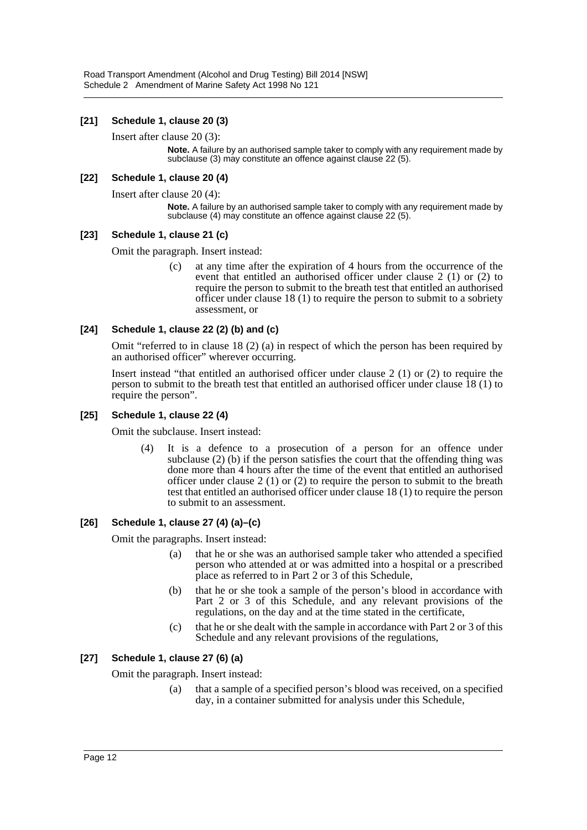## **[21] Schedule 1, clause 20 (3)**

Insert after clause 20 (3):

**Note.** A failure by an authorised sample taker to comply with any requirement made by subclause (3) may constitute an offence against clause 22 (5).

## **[22] Schedule 1, clause 20 (4)**

Insert after clause 20 (4):

**Note.** A failure by an authorised sample taker to comply with any requirement made by subclause (4) may constitute an offence against clause 22 (5).

## **[23] Schedule 1, clause 21 (c)**

Omit the paragraph. Insert instead:

(c) at any time after the expiration of 4 hours from the occurrence of the event that entitled an authorised officer under clause 2 (1) or (2) to require the person to submit to the breath test that entitled an authorised officer under clause 18 (1) to require the person to submit to a sobriety assessment, or

## **[24] Schedule 1, clause 22 (2) (b) and (c)**

Omit "referred to in clause 18 (2) (a) in respect of which the person has been required by an authorised officer" wherever occurring.

Insert instead "that entitled an authorised officer under clause 2 (1) or (2) to require the person to submit to the breath test that entitled an authorised officer under clause 18 (1) to require the person".

## **[25] Schedule 1, clause 22 (4)**

Omit the subclause. Insert instead:

(4) It is a defence to a prosecution of a person for an offence under subclause (2) (b) if the person satisfies the court that the offending thing was done more than 4 hours after the time of the event that entitled an authorised officer under clause 2 (1) or (2) to require the person to submit to the breath test that entitled an authorised officer under clause 18 (1) to require the person to submit to an assessment.

## **[26] Schedule 1, clause 27 (4) (a)–(c)**

Omit the paragraphs. Insert instead:

- (a) that he or she was an authorised sample taker who attended a specified person who attended at or was admitted into a hospital or a prescribed place as referred to in Part 2 or 3 of this Schedule,
- (b) that he or she took a sample of the person's blood in accordance with Part 2 or 3 of this Schedule, and any relevant provisions of the regulations, on the day and at the time stated in the certificate,
- (c) that he or she dealt with the sample in accordance with Part 2 or 3 of this Schedule and any relevant provisions of the regulations,

## **[27] Schedule 1, clause 27 (6) (a)**

Omit the paragraph. Insert instead:

(a) that a sample of a specified person's blood was received, on a specified day, in a container submitted for analysis under this Schedule,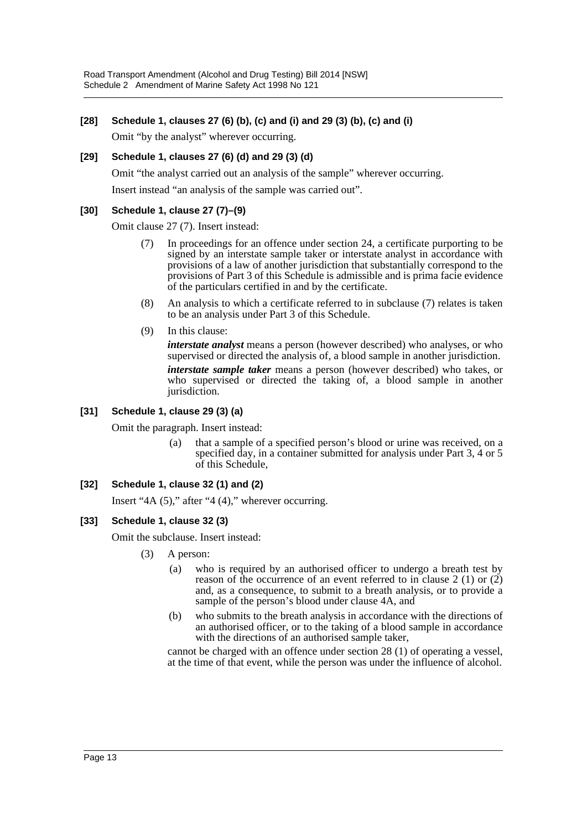## **[28] Schedule 1, clauses 27 (6) (b), (c) and (i) and 29 (3) (b), (c) and (i)**

Omit "by the analyst" wherever occurring.

## **[29] Schedule 1, clauses 27 (6) (d) and 29 (3) (d)**

Omit "the analyst carried out an analysis of the sample" wherever occurring.

Insert instead "an analysis of the sample was carried out".

## **[30] Schedule 1, clause 27 (7)–(9)**

Omit clause 27 (7). Insert instead:

- (7) In proceedings for an offence under section 24, a certificate purporting to be signed by an interstate sample taker or interstate analyst in accordance with provisions of a law of another jurisdiction that substantially correspond to the provisions of Part 3 of this Schedule is admissible and is prima facie evidence of the particulars certified in and by the certificate.
- (8) An analysis to which a certificate referred to in subclause (7) relates is taken to be an analysis under Part 3 of this Schedule.
- (9) In this clause:

*interstate analyst* means a person (however described) who analyses, or who supervised or directed the analysis of, a blood sample in another jurisdiction.

*interstate sample taker* means a person (however described) who takes, or who supervised or directed the taking of, a blood sample in another jurisdiction.

## **[31] Schedule 1, clause 29 (3) (a)**

Omit the paragraph. Insert instead:

(a) that a sample of a specified person's blood or urine was received, on a specified day, in a container submitted for analysis under Part 3, 4 or 5 of this Schedule,

## **[32] Schedule 1, clause 32 (1) and (2)**

Insert "4A (5)," after "4 (4)," wherever occurring.

## **[33] Schedule 1, clause 32 (3)**

Omit the subclause. Insert instead:

- (3) A person:
	- (a) who is required by an authorised officer to undergo a breath test by reason of the occurrence of an event referred to in clause  $2(1)$  or  $(2)$ and, as a consequence, to submit to a breath analysis, or to provide a sample of the person's blood under clause 4A, and
	- (b) who submits to the breath analysis in accordance with the directions of an authorised officer, or to the taking of a blood sample in accordance with the directions of an authorised sample taker,

cannot be charged with an offence under section 28 (1) of operating a vessel, at the time of that event, while the person was under the influence of alcohol.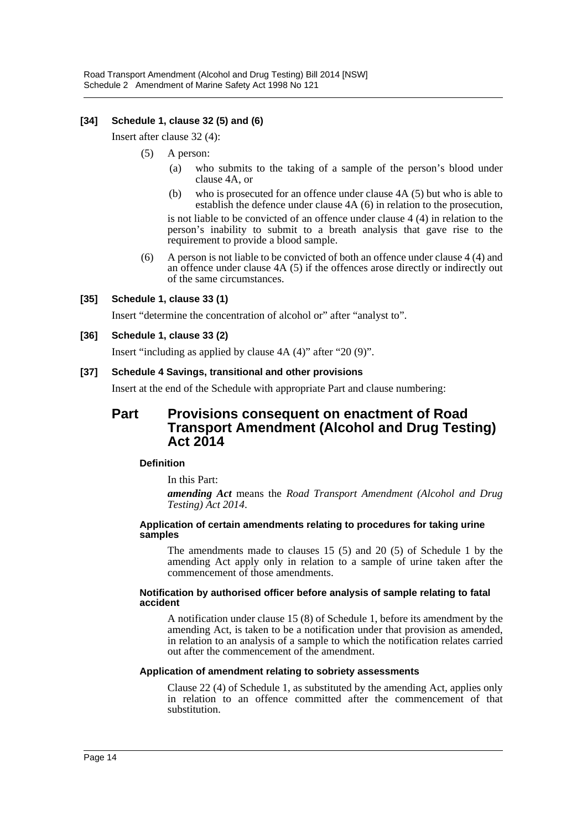## **[34] Schedule 1, clause 32 (5) and (6)**

Insert after clause 32 (4):

- (5) A person:
	- (a) who submits to the taking of a sample of the person's blood under clause 4A, or
	- (b) who is prosecuted for an offence under clause 4A (5) but who is able to establish the defence under clause 4A (6) in relation to the prosecution,

is not liable to be convicted of an offence under clause 4 (4) in relation to the person's inability to submit to a breath analysis that gave rise to the requirement to provide a blood sample.

(6) A person is not liable to be convicted of both an offence under clause 4 (4) and an offence under clause 4A (5) if the offences arose directly or indirectly out of the same circumstances.

#### **[35] Schedule 1, clause 33 (1)**

Insert "determine the concentration of alcohol or" after "analyst to".

#### **[36] Schedule 1, clause 33 (2)**

Insert "including as applied by clause 4A (4)" after "20 (9)".

#### **[37] Schedule 4 Savings, transitional and other provisions**

Insert at the end of the Schedule with appropriate Part and clause numbering:

## **Part Provisions consequent on enactment of Road Transport Amendment (Alcohol and Drug Testing) Act 2014**

#### **Definition**

In this Part:

*amending Act* means the *Road Transport Amendment (Alcohol and Drug Testing) Act 2014*.

#### **Application of certain amendments relating to procedures for taking urine samples**

The amendments made to clauses 15 (5) and 20 (5) of Schedule 1 by the amending Act apply only in relation to a sample of urine taken after the commencement of those amendments.

#### **Notification by authorised officer before analysis of sample relating to fatal accident**

A notification under clause 15 (8) of Schedule 1, before its amendment by the amending Act, is taken to be a notification under that provision as amended, in relation to an analysis of a sample to which the notification relates carried out after the commencement of the amendment.

#### **Application of amendment relating to sobriety assessments**

Clause 22 (4) of Schedule 1, as substituted by the amending Act, applies only in relation to an offence committed after the commencement of that substitution.